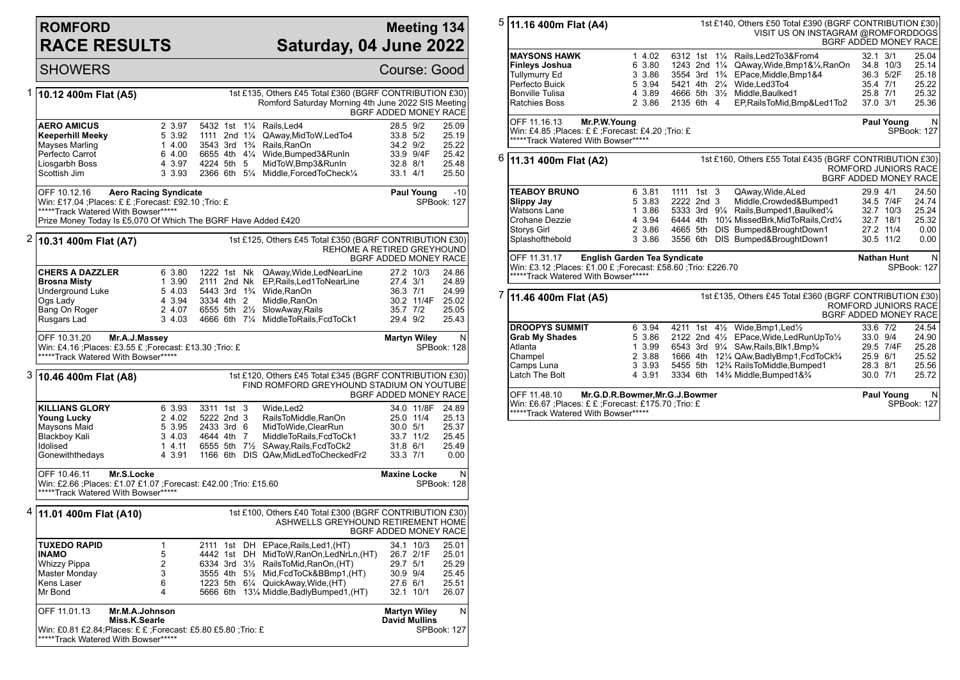## **ROMFORD RACE RESULTS**

## **Meeting 134 Saturday, 04 June 2022**

|   | <b>SHOWERS</b>                                                                                                                                                                 |                                                                      |                                                           |                                                      |                                                                                                                                                                                                                                                          |                                                            |                                      | Course: Good                                       |
|---|--------------------------------------------------------------------------------------------------------------------------------------------------------------------------------|----------------------------------------------------------------------|-----------------------------------------------------------|------------------------------------------------------|----------------------------------------------------------------------------------------------------------------------------------------------------------------------------------------------------------------------------------------------------------|------------------------------------------------------------|--------------------------------------|----------------------------------------------------|
| 1 | 10.12 400m Flat (A5)                                                                                                                                                           |                                                                      |                                                           |                                                      | 1st £135, Others £45 Total £360 (BGRF CONTRIBUTION £30)<br>Romford Saturday Morning 4th June 2022 SIS Meeting                                                                                                                                            | BGRF ADDED MONEY RACE                                      |                                      |                                                    |
|   | <b>AERO AMICUS</b><br>Keeperhill Meeky<br>Mayses Marling<br>Perfecto Carrot<br>Liosgarbh Boss<br>Scottish Jim                                                                  |                                                                      | 2 3.97<br>5 3.92<br>14.00<br>6 4.00<br>4 3.97<br>3 3.93   | 5432 1st 11/4<br>4224 5th 5                          | Rails.Led4<br>1111 2nd 11/4 QAway, MidToW, LedTo4<br>3543 3rd 1 <sup>3</sup> / <sub>4</sub> Rails, RanOn<br>6655 4th 41/4 Wide, Bumped 3& RunIn<br>MidToW, Bmp3&RunIn<br>2366 6th 51/4 Middle, Forced To Check1/4                                        | 28.5 9/2<br>33.8 5/2<br>34.2 9/2<br>32.8 8/1<br>$33.1$ 4/1 | 33.9 9/4F                            | 25.09<br>25.19<br>25.22<br>25.42<br>25.48<br>25.50 |
|   | OFF 10.12.16<br>Win: £17.04 ; Places: £ £ ; Forecast: £92.10 ; Trio: £<br>*****Track Watered With Bowser*****<br>Prize Money Today Is £5,070 Of Which The BGRF Have Added £420 | <b>Aero Racing Syndicate</b>                                         |                                                           |                                                      |                                                                                                                                                                                                                                                          |                                                            | Paul Young                           | $-10$<br><b>SPBook: 127</b>                        |
|   | $2 $ 10.31 400m Flat (A7)                                                                                                                                                      |                                                                      |                                                           |                                                      | 1st £125, Others £45 Total £350 (BGRF CONTRIBUTION £30)<br>REHOME A RETIRED GREYHOUND                                                                                                                                                                    | BGRF ADDED MONEY RACE                                      |                                      |                                                    |
|   | <b>CHERS A DAZZLER</b><br><b>Brosna Misty</b><br>Underground Luke<br>Ogs Lady<br>Bang On Roger<br>Rusgars Lad                                                                  |                                                                      | 6 3.80<br>1 3.90<br>5 4.03<br>4 3.94<br>2 4.07<br>3, 4.03 | 1222 1st Nk<br>2111 2nd Nk<br>3334 4th 2             | QAway, Wide, LedNearLine<br>EP, Rails, Led 1 To Near Line<br>5443 3rd 1 <sup>3</sup> / <sub>4</sub> Wide.RanOn<br>Middle, RanOn<br>6555 5th 21/2 SlowAway, Rails<br>4666 6th 71/4 MiddleToRails, FcdToCk1                                                | 27.4 3/1<br>36.3 7/1<br>35.7 7/2<br>29.4 9/2               | 27.2 10/3<br>30.2 11/4F              | 24.86<br>24.89<br>24.99<br>25.02<br>25.05<br>25.43 |
|   | OFF 10.31.20<br>Win: £4.16 ; Places: £3.55 £ ; Forecast: £13.30 ; Trio: £<br>*****Track Watered With Bowser*****                                                               | Mr.A.J.Massey                                                        |                                                           |                                                      |                                                                                                                                                                                                                                                          | <b>Martyn Wiley</b>                                        |                                      | N<br>SPBook: 128                                   |
| 3 | 10.46 400m Flat (A8)                                                                                                                                                           |                                                                      |                                                           |                                                      | 1st £120, Others £45 Total £345 (BGRF CONTRIBUTION £30)<br>FIND ROMFORD GREYHOUND STADIUM ON YOUTUBE                                                                                                                                                     | BGRF ADDED MONEY RACE                                      |                                      |                                                    |
|   | <b>KILLIANS GLORY</b><br><b>Young Lucky</b><br>Maysons Maid<br>Blackboy Kali<br>Idolised<br>Gonewiththedays                                                                    |                                                                      | 6 3.93<br>2 4.02<br>5 3.95<br>3 4.03<br>14.11<br>4 3.91   | 3311 1st 3<br>5222 2nd 3<br>2433 3rd 6<br>4644 4th 7 | Wide, Led <sub>2</sub><br>RailsToMiddle,RanOn<br>MidToWide, ClearRun<br>MiddleToRails, FcdToCk1<br>6555 5th 71/2 SAway, Rails, FcdToCk2<br>1166 6th DIS QAw, MidLed To Checked Fr2                                                                       | 30.0 5/1<br>31.8 6/1<br>33.3 7/1                           | 34.0 11/8F<br>25.0 11/4<br>33.7 11/2 | 24.89<br>25.13<br>25.37<br>25.45<br>25.49<br>0.00  |
|   | OFF 10.46.11<br>Mr.S.Locke<br>Win: £2.66 ;Places: £1.07 £1.07 ;Forecast: £42.00 ;Trio: £15.60<br>*****Track Watered With Bowser*****                                           | <b>Maxine Locke</b>                                                  |                                                           | N<br>SPBook: 128                                     |                                                                                                                                                                                                                                                          |                                                            |                                      |                                                    |
|   | <sup>4</sup> 11.01 400m Flat (A10)                                                                                                                                             |                                                                      |                                                           |                                                      | 1st £100, Others £40 Total £300 (BGRF CONTRIBUTION £30)<br>ASHWELLS GREYHOUND RETIREMENT HOME                                                                                                                                                            | BGRF ADDED MONEY RACE                                      |                                      |                                                    |
|   | <b>TUXEDO RAPID</b><br><b>INAMO</b><br><b>Whizzy Pippa</b><br>Master Monday<br>Kens Laser<br>Mr Bond                                                                           | $\mathbf{1}$<br>5<br>$\overline{2}$<br>3<br>6<br>4<br>Mr.M.A.Johnson |                                                           |                                                      | 2111 1st DH EPace, Rails, Led 1, (HT)<br>4442 1st DH MidToW, RanOn, LedNrLn, (HT)<br>6334 3rd 31/2 RailsToMid, RanOn, (HT)<br>3555 4th 5½ Mid, FcdToCk&BBmp1, (HT)<br>1223 5th 61/4 QuickAway, Wide, (HT)<br>5666 6th 131/4 Middle, Badly Bumped 1, (HT) | 29.7 5/1<br>30.9 9/4<br>27.6 6/1                           | 34.1 10/3<br>26.7 2/1F<br>32.1 10/1  | 25.01<br>25.01<br>25.29<br>25.45<br>25.51<br>26.07 |
|   | OFF 11.01.13<br>Miss.K.Searle<br>Win: £0.81 £2.84; Places: £ £; Forecast: £5.80 £5.80 ; Trio: £<br>*****Track Watered With Bowser*****                                         | <b>Martyn Wiley</b><br><b>David Mullins</b>                          |                                                           | N<br>SPBook: 127                                     |                                                                                                                                                                                                                                                          |                                                            |                                      |                                                    |

| 5 | 1st £140, Others £50 Total £390 (BGRF CONTRIBUTION £30)<br>11.16 400m Flat (A4)<br>VISIT US ON INSTAGRAM @ROMFORDDOGS<br>BGRF ADDED MONEY RACE                |  |        |            |  |  |                                                                       |                                               |                    |                         |
|---|---------------------------------------------------------------------------------------------------------------------------------------------------------------|--|--------|------------|--|--|-----------------------------------------------------------------------|-----------------------------------------------|--------------------|-------------------------|
|   | <b>MAYSONS HAWK</b>                                                                                                                                           |  | 1 4.02 |            |  |  | 6312 1st 11/4 Rails, Led 2To 3& From 4                                | $32.1$ $3/1$                                  |                    | 25.04                   |
|   | <b>Finleys Joshua</b>                                                                                                                                         |  | 6 3.80 |            |  |  | 1243 2nd 11/4 QAway, Wide, Bmp1&1/4, RanOn                            | 34.8 10/3                                     |                    | 25.14                   |
|   | <b>Tullymurry Ed</b>                                                                                                                                          |  | 3 3.86 |            |  |  | 3554 3rd 1 <sup>3</sup> / <sub>4</sub> EPace, Middle, Bmp1&4          |                                               | 36.3 5/2F          | 25.18                   |
|   | Perfecto Buick                                                                                                                                                |  | 5 3.94 |            |  |  | 5421 4th 21/4 Wide.Led3To4                                            | 35.4 7/1                                      |                    | 25.22                   |
|   | <b>Bonville Tulisa</b>                                                                                                                                        |  | 4 3.89 |            |  |  | 4666 5th 31/2 Middle, Baulked1                                        | 25.8 7/1                                      |                    | 25.32                   |
|   | <b>Ratchies Boss</b>                                                                                                                                          |  | 2 3.86 | 2135 6th 4 |  |  | EP, Rails To Mid, Bmp&Led1To2                                         | 37.0 3/1                                      |                    | 25.36                   |
|   | OFF 11.16.13<br>Mr.P.W.Young<br>Win: £4.85 ; Places: £ £ ; Forecast: £4.20 ; Trio: £<br>*****Track Watered With Bowser*****                                   |  |        |            |  |  |                                                                       |                                               | <b>Paul Young</b>  | N<br>SPBook: 127        |
| 6 | 1st £160, Others £55 Total £435 (BGRF CONTRIBUTION £30)<br>11.31 400m Flat (A2)<br><b>ROMFORD JUNIORS RACE</b><br><b>BGRF ADDED MONEY RACE</b>                |  |        |            |  |  |                                                                       |                                               |                    |                         |
|   | <b>TEABOY BRUNO</b>                                                                                                                                           |  | 6 3.81 | 1111 1st 3 |  |  | QAway, Wide, ALed                                                     | 29.9 4/1                                      |                    | 24.50                   |
|   | <b>Slippy Jay</b>                                                                                                                                             |  | 5 3.83 | 2222 2nd 3 |  |  | Middle, Crowded&Bumped1                                               |                                               | 34.5 7/4F          | 24.74                   |
|   | <b>Watsons Lane</b>                                                                                                                                           |  | 1 3.86 |            |  |  | 5333 3rd 91/4 Rails, Bumped 1, Baulked 1/4                            |                                               | 32.7 10/3          | 25.24                   |
|   | Crohane Dezzie                                                                                                                                                |  | 4 3.94 |            |  |  | 6444 4th 101/4 MissedBrk, MidToRails, Crd1/4                          |                                               | 32.7 18/1          | 25.32                   |
|   | <b>Storys Girl</b>                                                                                                                                            |  | 2 3.86 |            |  |  | 4665 5th DIS Bumped&BroughtDown1                                      | 27.2 11/4                                     |                    | 0.00                    |
|   | Splashofthebold                                                                                                                                               |  | 3 3.86 |            |  |  | 3556 6th DIS Bumped&BroughtDown1                                      | 30.5 11/2                                     |                    | 0.00                    |
|   | OFF 11.31.17<br><b>English Garden Tea Syndicate</b><br>Win: £3.12 ; Places: £1.00 £ ; Forecast: £58.60 ; Trio: £226.70<br>*****Track Watered With Bowser***** |  |        |            |  |  |                                                                       |                                               | <b>Nathan Hunt</b> | N<br><b>SPBook: 127</b> |
| 7 | 11.46 400m Flat (A5)                                                                                                                                          |  |        |            |  |  | 1st £135, Others £45 Total £360 (BGRF CONTRIBUTION £30)               | ROMFORD JUNIORS RACE<br>BGRF ADDED MONEY RACE |                    |                         |
|   | <b>DROOPYS SUMMIT</b>                                                                                                                                         |  | 6 3.94 |            |  |  | 4211 1st 41/ <sub>2</sub> Wide, Bmp1, Led <sup>1</sup> / <sub>2</sub> | 33.6 7/2                                      |                    | 24.54                   |
|   | <b>Grab My Shades</b>                                                                                                                                         |  | 5 3.86 |            |  |  | 2122 2nd 41/2 EPace, Wide, Led RunUp To 1/2                           | 33.0 9/4                                      |                    | 24.90                   |
|   | Atlanta                                                                                                                                                       |  | 1 3.99 |            |  |  | 6543 3rd 91/4 SAw, Rails, Blk1, Bmp3/4                                |                                               | 29.5 7/4F          | 25.28                   |
|   | Champel                                                                                                                                                       |  | 2 3.88 |            |  |  | 1666 4th 121/4 QAw, Badly Bmp1, Fcd To Ck 3/4                         | 25.9 6/1                                      |                    | 25.52                   |
|   | Camps Luna                                                                                                                                                    |  | 3 3.93 |            |  |  | 5455 5th 12% RailsToMiddle, Bumped1                                   | 28.3 8/1                                      |                    | 25.56                   |
|   | Latch The Bolt                                                                                                                                                |  | 4 3.91 |            |  |  | 3334 6th 14% Middle, Bumped 1& 3/4                                    | 30.0 7/1                                      |                    | 25.72                   |
|   | OFF 11.48.10<br>Mr.G.D.R.Bowmer, Mr.G.J.Bowmer<br>Win: £6.67 ;Places: £ £ ;Forecast: £175.70 ;Trio: £<br>*****Track Watered With Bowser*****                  |  |        |            |  |  |                                                                       |                                               | <b>Paul Young</b>  | N<br>SPBook: 127        |